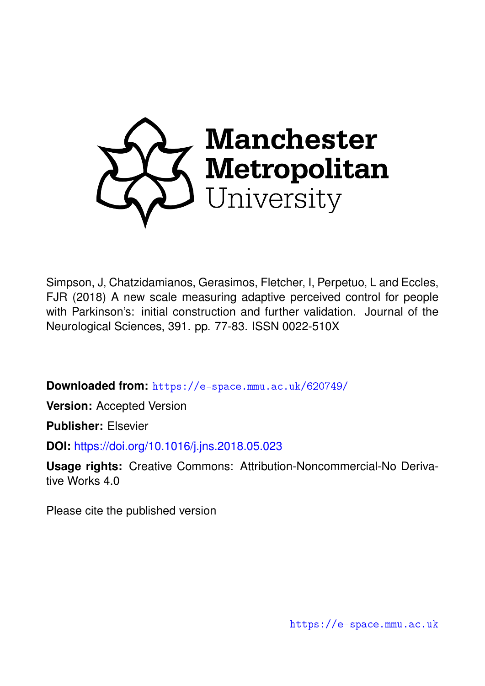

Simpson, J, Chatzidamianos, Gerasimos, Fletcher, I, Perpetuo, L and Eccles, FJR (2018) A new scale measuring adaptive perceived control for people with Parkinson's: initial construction and further validation. Journal of the Neurological Sciences, 391. pp. 77-83. ISSN 0022-510X

**Downloaded from:** <https://e-space.mmu.ac.uk/620749/>

**Version:** Accepted Version

**Publisher:** Elsevier

**DOI:** <https://doi.org/10.1016/j.jns.2018.05.023>

**Usage rights:** Creative Commons: Attribution-Noncommercial-No Derivative Works 4.0

Please cite the published version

<https://e-space.mmu.ac.uk>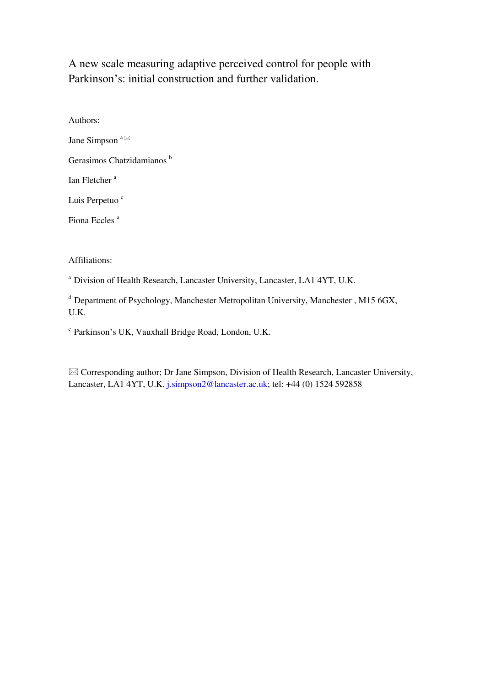A new scale measuring adaptive perceived control for people with Parkinson's: initial construction and further validation.

Authors: Jane Simpson  $a \boxtimes$ Gerasimos Chatzidamianos<sup>b</sup> Ian Fletcher<sup>a</sup> Luis Perpetuo<sup>c</sup> Fiona Eccles<sup>a</sup>

Affiliations:

<sup>a</sup> Division of Health Research, Lancaster University, Lancaster, LA1 4YT, U.K.

 $d$  Department of Psychology, Manchester Metropolitan University, Manchester, M15 6GX, U.K.

 $c$  Parkinson's UK, Vauxhall Bridge Road, London, U.K.

 $\boxtimes$  Corresponding author; Dr Jane Simpson, Division of Health Research, Lancaster University, Lancaster, LA1 4YT, U.K. [j.simpson2@lancaster.ac.uk;](mailto:j.simpson2@lancaster.ac.uk) tel: +44 (0) 1524 592858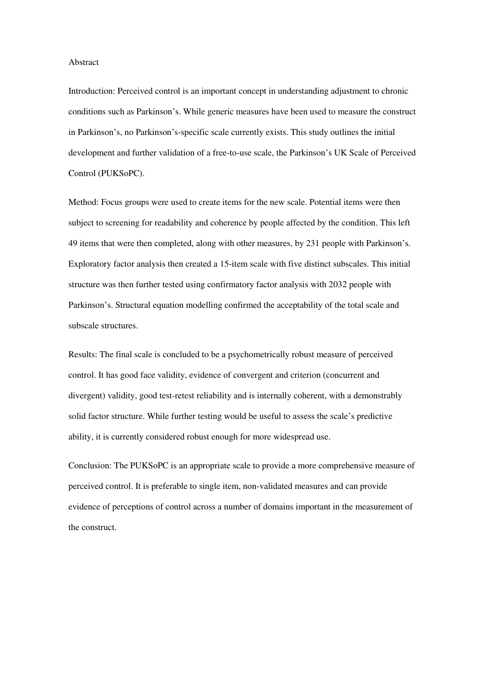Abstract

Introduction: Perceived control is an important concept in understanding adjustment to chronic conditions such as Parkinson's. While generic measures have been used to measure the construct in Parkinson's, no Parkinson's-specific scale currently exists. This study outlines the initial development and further validation of a free-to-use scale, the Parkinson's UK Scale of Perceived Control (PUKSoPC).

Method: Focus groups were used to create items for the new scale. Potential items were then subject to screening for readability and coherence by people affected by the condition. This left 49 items that were then completed, along with other measures, by 231 people with Parkinson's. Exploratory factor analysis then created a 15-item scale with five distinct subscales. This initial structure was then further tested using confirmatory factor analysis with 2032 people with Parkinson's. Structural equation modelling confirmed the acceptability of the total scale and subscale structures.

Results: The final scale is concluded to be a psychometrically robust measure of perceived control. It has good face validity, evidence of convergent and criterion (concurrent and divergent) validity, good test-retest reliability and is internally coherent, with a demonstrably solid factor structure. While further testing would be useful to assess the scale's predictive ability, it is currently considered robust enough for more widespread use.

Conclusion: The PUKSoPC is an appropriate scale to provide a more comprehensive measure of perceived control. It is preferable to single item, non-validated measures and can provide evidence of perceptions of control across a number of domains important in the measurement of the construct.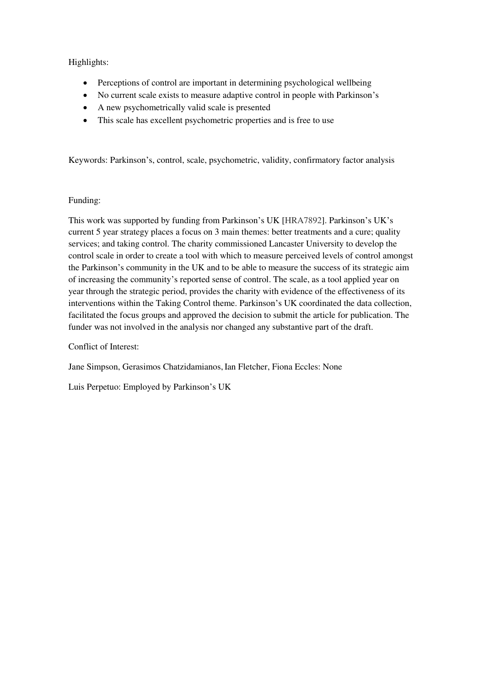# Highlights:

- Perceptions of control are important in determining psychological wellbeing
- No current scale exists to measure adaptive control in people with Parkinson's
- A new psychometrically valid scale is presented
- This scale has excellent psychometric properties and is free to use

Keywords: Parkinson's, control, scale, psychometric, validity, confirmatory factor analysis

### Funding:

This work was supported by funding from Parkinson's UK [HRA7892]. Parkinson's UK's current 5 year strategy places a focus on 3 main themes: better treatments and a cure; quality services; and taking control. The charity commissioned Lancaster University to develop the control scale in order to create a tool with which to measure perceived levels of control amongst the Parkinson's community in the UK and to be able to measure the success of its strategic aim of increasing the community's reported sense of control. The scale, as a tool applied year on year through the strategic period, provides the charity with evidence of the effectiveness of its interventions within the Taking Control theme. Parkinson's UK coordinated the data collection, facilitated the focus groups and approved the decision to submit the article for publication. The funder was not involved in the analysis nor changed any substantive part of the draft.

Conflict of Interest:

Jane Simpson, Gerasimos Chatzidamianos,Ian Fletcher, Fiona Eccles: None

Luis Perpetuo: Employed by Parkinson's UK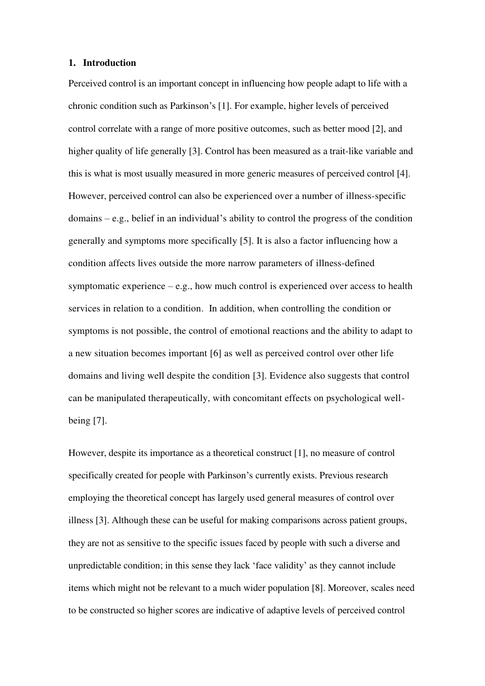## **1. Introduction**

Perceived control is an important concept in influencing how people adapt to life with a chronic condition such as Parkinson's [1]. For example, higher levels of perceived control correlate with a range of more positive outcomes, such as better mood [2], and higher quality of life generally [3]. Control has been measured as a trait-like variable and this is what is most usually measured in more generic measures of perceived control [4]. However, perceived control can also be experienced over a number of illness-specific domains – e.g., belief in an individual's ability to control the progress of the condition generally and symptoms more specifically [5]. It is also a factor influencing how a condition affects lives outside the more narrow parameters of illness-defined symptomatic experience  $-e.g.,$  how much control is experienced over access to health services in relation to a condition. In addition, when controlling the condition or symptoms is not possible, the control of emotional reactions and the ability to adapt to a new situation becomes important [6] as well as perceived control over other life domains and living well despite the condition [3]. Evidence also suggests that control can be manipulated therapeutically, with concomitant effects on psychological wellbeing [7].

However, despite its importance as a theoretical construct [1], no measure of control specifically created for people with Parkinson's currently exists. Previous research employing the theoretical concept has largely used general measures of control over illness [3]. Although these can be useful for making comparisons across patient groups, they are not as sensitive to the specific issues faced by people with such a diverse and unpredictable condition; in this sense they lack 'face validity' as they cannot include items which might not be relevant to a much wider population [8]. Moreover, scales need to be constructed so higher scores are indicative of adaptive levels of perceived control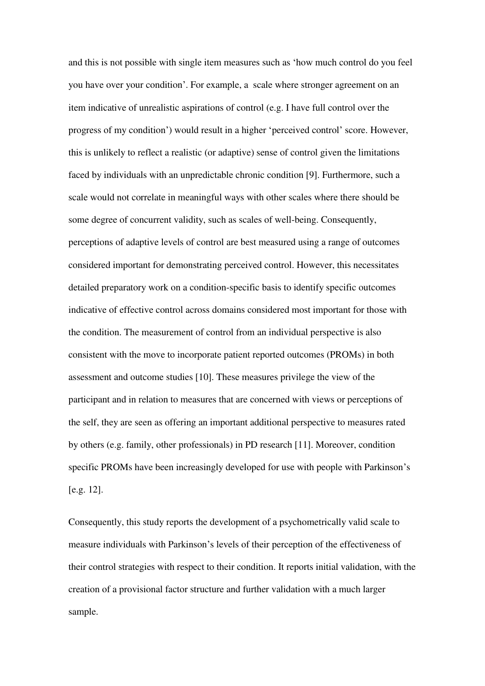and this is not possible with single item measures such as 'how much control do you feel you have over your condition'. For example, a scale where stronger agreement on an item indicative of unrealistic aspirations of control (e.g. I have full control over the progress of my condition') would result in a higher 'perceived control' score. However, this is unlikely to reflect a realistic (or adaptive) sense of control given the limitations faced by individuals with an unpredictable chronic condition [9]. Furthermore, such a scale would not correlate in meaningful ways with other scales where there should be some degree of concurrent validity, such as scales of well-being. Consequently, perceptions of adaptive levels of control are best measured using a range of outcomes considered important for demonstrating perceived control. However, this necessitates detailed preparatory work on a condition-specific basis to identify specific outcomes indicative of effective control across domains considered most important for those with the condition. The measurement of control from an individual perspective is also consistent with the move to incorporate patient reported outcomes (PROMs) in both assessment and outcome studies [10]. These measures privilege the view of the participant and in relation to measures that are concerned with views or perceptions of the self, they are seen as offering an important additional perspective to measures rated by others (e.g. family, other professionals) in PD research [11]. Moreover, condition specific PROMs have been increasingly developed for use with people with Parkinson's [e.g. 12].

Consequently, this study reports the development of a psychometrically valid scale to measure individuals with Parkinson's levels of their perception of the effectiveness of their control strategies with respect to their condition. It reports initial validation, with the creation of a provisional factor structure and further validation with a much larger sample.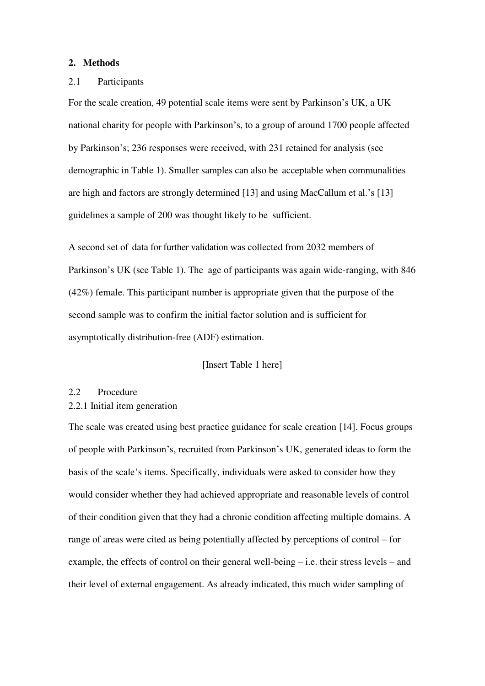### **2. Methods**

#### 2.1 Participants

For the scale creation, 49 potential scale items were sent by Parkinson's UK, a UK national charity for people with Parkinson's, to a group of around 1700 people affected by Parkinson's; 236 responses were received, with 231 retained for analysis (see demographic in Table 1). Smaller samples can also be acceptable when communalities are high and factors are strongly determined [13] and using MacCallum et al.'s [13] guidelines a sample of 200 was thought likely to be sufficient.

A second set of data for further validation was collected from 2032 members of Parkinson's UK (see Table 1). The age of participants was again wide-ranging, with 846 (42%) female. This participant number is appropriate given that the purpose of the second sample was to confirm the initial factor solution and is sufficient for asymptotically distribution-free (ADF) estimation.

#### [Insert Table 1 here]

#### 2.2 Procedure

#### 2.2.1 Initial item generation

The scale was created using best practice guidance for scale creation [14]. Focus groups of people with Parkinson's, recruited from Parkinson's UK, generated ideas to form the basis of the scale's items. Specifically, individuals were asked to consider how they would consider whether they had achieved appropriate and reasonable levels of control of their condition given that they had a chronic condition affecting multiple domains. A range of areas were cited as being potentially affected by perceptions of control – for example, the effects of control on their general well-being – i.e. their stress levels – and their level of external engagement. As already indicated, this much wider sampling of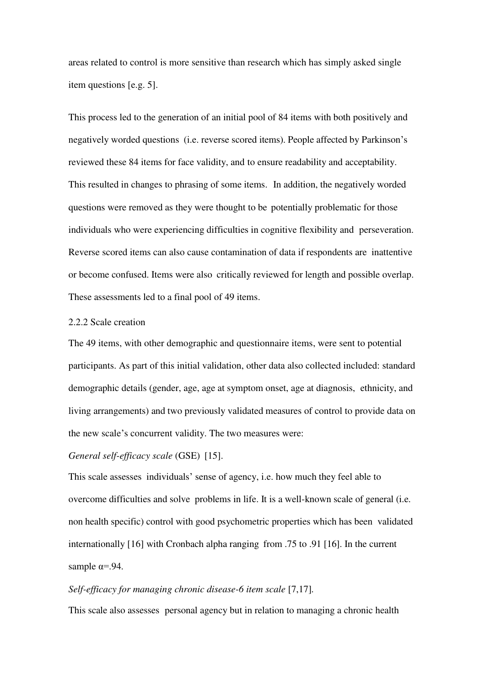areas related to control is more sensitive than research which has simply asked single item questions [e.g. 5].

This process led to the generation of an initial pool of 84 items with both positively and negatively worded questions (i.e. reverse scored items). People affected by Parkinson's reviewed these 84 items for face validity, and to ensure readability and acceptability. This resulted in changes to phrasing of some items. In addition, the negatively worded questions were removed as they were thought to be potentially problematic for those individuals who were experiencing difficulties in cognitive flexibility and perseveration. Reverse scored items can also cause contamination of data if respondents are inattentive or become confused. Items were also critically reviewed for length and possible overlap. These assessments led to a final pool of 49 items.

# 2.2.2 Scale creation

The 49 items, with other demographic and questionnaire items, were sent to potential participants. As part of this initial validation, other data also collected included: standard demographic details (gender, age, age at symptom onset, age at diagnosis, ethnicity, and living arrangements) and two previously validated measures of control to provide data on the new scale's concurrent validity. The two measures were:

# *General self-efficacy scale* (GSE) [15].

This scale assesses individuals' sense of agency, i.e. how much they feel able to overcome difficulties and solve problems in life. It is a well-known scale of general (i.e. non health specific) control with good psychometric properties which has been validated internationally [16] with Cronbach alpha ranging from .75 to .91 [16]. In the current sample  $\alpha = .94$ .

# *Self-efficacy for managing chronic disease-6 item scale* [7,17]*.*

This scale also assesses personal agency but in relation to managing a chronic health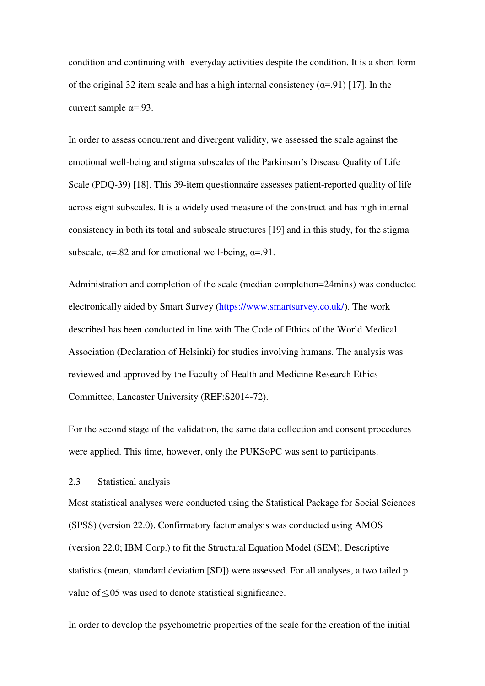condition and continuing with everyday activities despite the condition. It is a short form of the original 32 item scale and has a high internal consistency  $(\alpha = .91)$  [17]. In the current sample  $\alpha = .93$ .

In order to assess concurrent and divergent validity, we assessed the scale against the emotional well-being and stigma subscales of the Parkinson's Disease Quality of Life Scale (PDQ-39) [18]. This 39-item questionnaire assesses patient-reported quality of life across eight subscales. It is a widely used measure of the construct and has high internal consistency in both its total and subscale structures [19] and in this study, for the stigma subscale,  $\alpha = 0.82$  and for emotional well-being,  $\alpha = 0.91$ .

Administration and completion of the scale (median completion=24mins) was conducted electronically aided by Smart Survey [\(https://www.smartsurvey.co.uk/\)](https://www.smartsurvey.co.uk/). The work described has been conducted in line with The Code of Ethics of the World Medical Association (Declaration of Helsinki) for studies involving humans. The analysis was reviewed and approved by the Faculty of Health and Medicine Research Ethics Committee, Lancaster University (REF:S2014-72).

For the second stage of the validation, the same data collection and consent procedures were applied. This time, however, only the PUKSoPC was sent to participants.

#### 2.3 Statistical analysis

Most statistical analyses were conducted using the Statistical Package for Social Sciences (SPSS) (version 22.0). Confirmatory factor analysis was conducted using AMOS (version 22.0; IBM Corp.) to fit the Structural Equation Model (SEM). Descriptive statistics (mean, standard deviation [SD]) were assessed. For all analyses, a two tailed p value of ≤.05 was used to denote statistical significance.

In order to develop the psychometric properties of the scale for the creation of the initial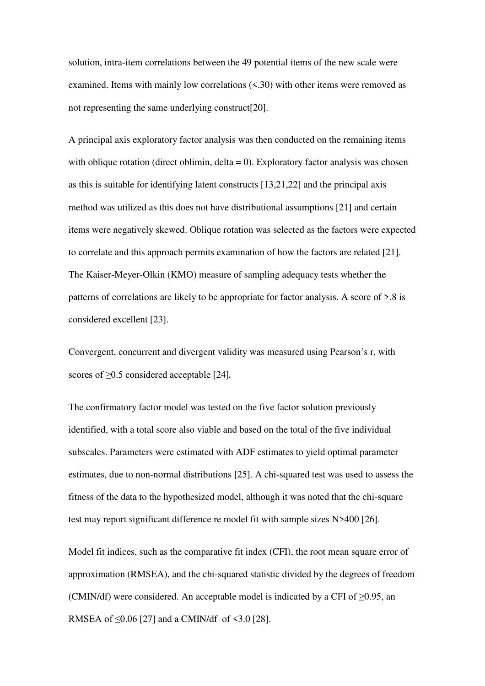solution, intra-item correlations between the 49 potential items of the new scale were examined. Items with mainly low correlations (<.30) with other items were removed as not representing the same underlying construct[20].

A principal axis exploratory factor analysis was then conducted on the remaining items with oblique rotation (direct oblimin, delta  $= 0$ ). Exploratory factor analysis was chosen as this is suitable for identifying latent constructs [13,21,22] and the principal axis method was utilized as this does not have distributional assumptions [21] and certain items were negatively skewed. Oblique rotation was selected as the factors were expected to correlate and this approach permits examination of how the factors are related [21]. The Kaiser-Meyer-Olkin (KMO) measure of sampling adequacy tests whether the patterns of correlations are likely to be appropriate for factor analysis. A score of >.8 is considered excellent [23].

Convergent, concurrent and divergent validity was measured using Pearson's r, with scores of ≥0.5 considered acceptable [24].

The confirmatory factor model was tested on the five factor solution previously identified, with a total score also viable and based on the total of the five individual subscales. Parameters were estimated with ADF estimates to yield optimal parameter estimates, due to non-normal distributions [25]. A chi-squared test was used to assess the fitness of the data to the hypothesized model, although it was noted that the chi-square test may report significant difference re model fit with sample sizes N>400 [26].

Model fit indices, such as the comparative fit index (CFI), the root mean square error of approximation (RMSEA), and the chi-squared statistic divided by the degrees of freedom (CMIN/df) were considered. An acceptable model is indicated by a CFI of  $\geq$ 0.95, an RMSEA of  $\leq 0.06$  [27] and a CMIN/df of  $\leq 3.0$  [28].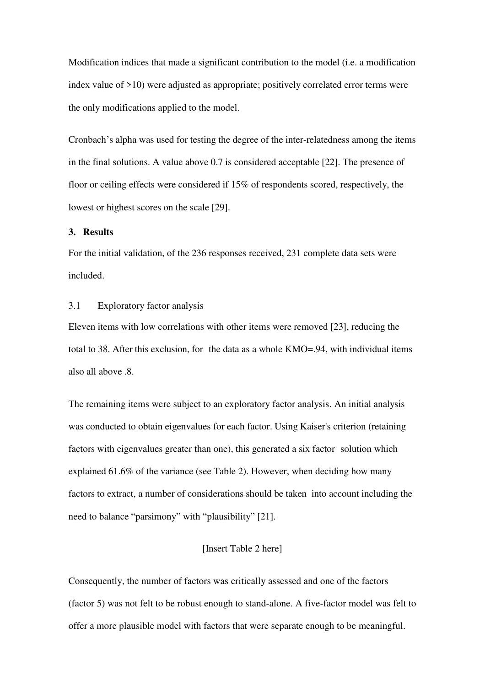Modification indices that made a significant contribution to the model (i.e. a modification index value of >10) were adjusted as appropriate; positively correlated error terms were the only modifications applied to the model.

Cronbach's alpha was used for testing the degree of the inter-relatedness among the items in the final solutions. A value above 0.7 is considered acceptable [22]. The presence of floor or ceiling effects were considered if 15% of respondents scored, respectively, the lowest or highest scores on the scale [29].

## **3. Results**

For the initial validation, of the 236 responses received, 231 complete data sets were included.

# 3.1 Exploratory factor analysis

Eleven items with low correlations with other items were removed [23], reducing the total to 38. After this exclusion, for the data as a whole KMO=.94, with individual items also all above .8.

The remaining items were subject to an exploratory factor analysis. An initial analysis was conducted to obtain eigenvalues for each factor. Using Kaiser's criterion (retaining factors with eigenvalues greater than one), this generated a six factor solution which explained 61.6% of the variance (see Table 2). However, when deciding how many factors to extract, a number of considerations should be taken into account including the need to balance "parsimony" with "plausibility" [21].

#### [Insert Table 2 here]

Consequently, the number of factors was critically assessed and one of the factors (factor 5) was not felt to be robust enough to stand-alone. A five-factor model was felt to offer a more plausible model with factors that were separate enough to be meaningful.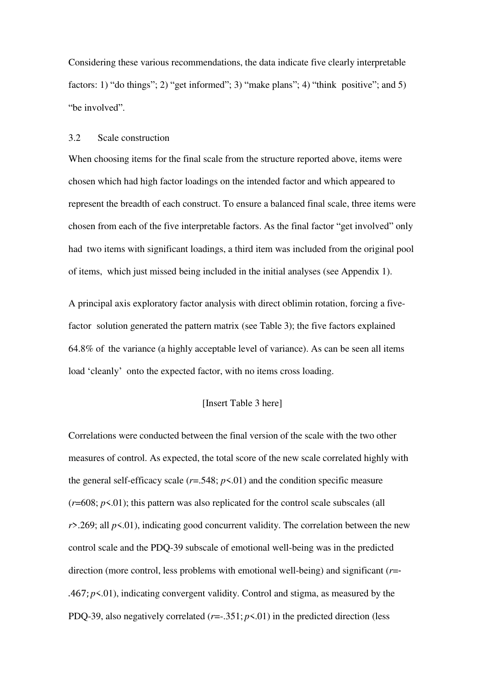Considering these various recommendations, the data indicate five clearly interpretable factors: 1) "do things"; 2) "get informed"; 3) "make plans"; 4) "think positive"; and 5) "be involved".

#### 3.2 Scale construction

When choosing items for the final scale from the structure reported above, items were chosen which had high factor loadings on the intended factor and which appeared to represent the breadth of each construct. To ensure a balanced final scale, three items were chosen from each of the five interpretable factors. As the final factor "get involved" only had two items with significant loadings, a third item was included from the original pool of items, which just missed being included in the initial analyses (see Appendix 1).

A principal axis exploratory factor analysis with direct oblimin rotation, forcing a fivefactor solution generated the pattern matrix (see Table 3); the five factors explained 64.8% of the variance (a highly acceptable level of variance). As can be seen all items load 'cleanly' onto the expected factor, with no items cross loading.

#### [Insert Table 3 here]

Correlations were conducted between the final version of the scale with the two other measures of control. As expected, the total score of the new scale correlated highly with the general self-efficacy scale  $(r=.548; p<.01)$  and the condition specific measure  $(r=608; p<.01)$ ; this pattern was also replicated for the control scale subscales (all *r*>.269; all *p*<.01), indicating good concurrent validity. The correlation between the new control scale and the PDQ-39 subscale of emotional well-being was in the predicted direction (more control, less problems with emotional well-being) and significant (*r*=- .467; *p*<.01), indicating convergent validity. Control and stigma, as measured by the PDQ-39, also negatively correlated  $(r=-.351; p<.01)$  in the predicted direction (less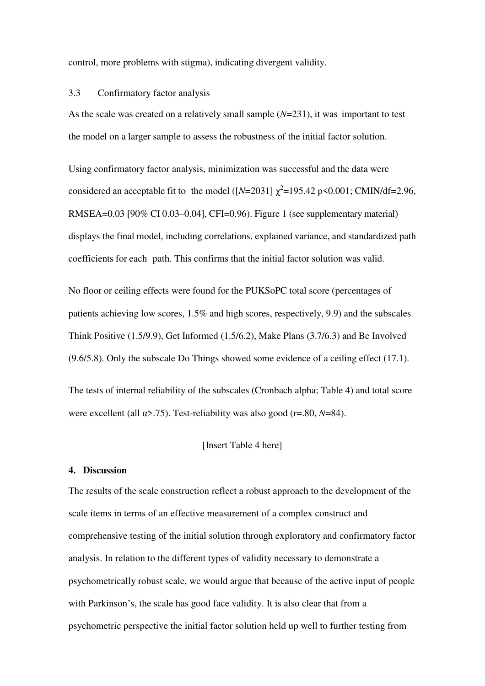control, more problems with stigma), indicating divergent validity.

#### 3.3 Confirmatory factor analysis

As the scale was created on a relatively small sample (*N*=231), it was important to test the model on a larger sample to assess the robustness of the initial factor solution.

Using confirmatory factor analysis, minimization was successful and the data were considered an acceptable fit to the model  $([N=2031] \chi^2=195.42 \text{ p} \le 0.001$ ; CMIN/df=2.96, RMSEA=0.03 [90% CI 0.03–0.04], CFI=0.96). Figure 1 (see supplementary material) displays the final model, including correlations, explained variance, and standardized path coefficients for each path. This confirms that the initial factor solution was valid.

No floor or ceiling effects were found for the PUKSoPC total score (percentages of patients achieving low scores, 1.5% and high scores, respectively, 9.9) and the subscales Think Positive (1.5/9.9), Get Informed (1.5/6.2), Make Plans (3.7/6.3) and Be Involved (9.6/5.8). Only the subscale Do Things showed some evidence of a ceiling effect (17.1).

The tests of internal reliability of the subscales (Cronbach alpha; Table 4) and total score were excellent (all α>.75). Test-reliability was also good (r=.80, *N*=84).

#### [Insert Table 4 here]

#### **4. Discussion**

The results of the scale construction reflect a robust approach to the development of the scale items in terms of an effective measurement of a complex construct and comprehensive testing of the initial solution through exploratory and confirmatory factor analysis. In relation to the different types of validity necessary to demonstrate a psychometrically robust scale, we would argue that because of the active input of people with Parkinson's, the scale has good face validity. It is also clear that from a psychometric perspective the initial factor solution held up well to further testing from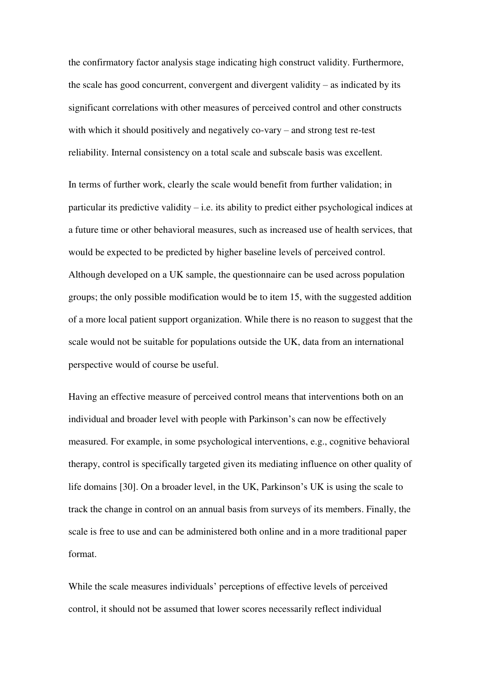the confirmatory factor analysis stage indicating high construct validity. Furthermore, the scale has good concurrent, convergent and divergent validity – as indicated by its significant correlations with other measures of perceived control and other constructs with which it should positively and negatively co-vary – and strong test re-test reliability. Internal consistency on a total scale and subscale basis was excellent.

In terms of further work, clearly the scale would benefit from further validation; in particular its predictive validity – i.e. its ability to predict either psychological indices at a future time or other behavioral measures, such as increased use of health services, that would be expected to be predicted by higher baseline levels of perceived control. Although developed on a UK sample, the questionnaire can be used across population groups; the only possible modification would be to item 15, with the suggested addition of a more local patient support organization. While there is no reason to suggest that the scale would not be suitable for populations outside the UK, data from an international perspective would of course be useful.

Having an effective measure of perceived control means that interventions both on an individual and broader level with people with Parkinson's can now be effectively measured. For example, in some psychological interventions, e.g., cognitive behavioral therapy, control is specifically targeted given its mediating influence on other quality of life domains [30]. On a broader level, in the UK, Parkinson's UK is using the scale to track the change in control on an annual basis from surveys of its members. Finally, the scale is free to use and can be administered both online and in a more traditional paper format.

While the scale measures individuals' perceptions of effective levels of perceived control, it should not be assumed that lower scores necessarily reflect individual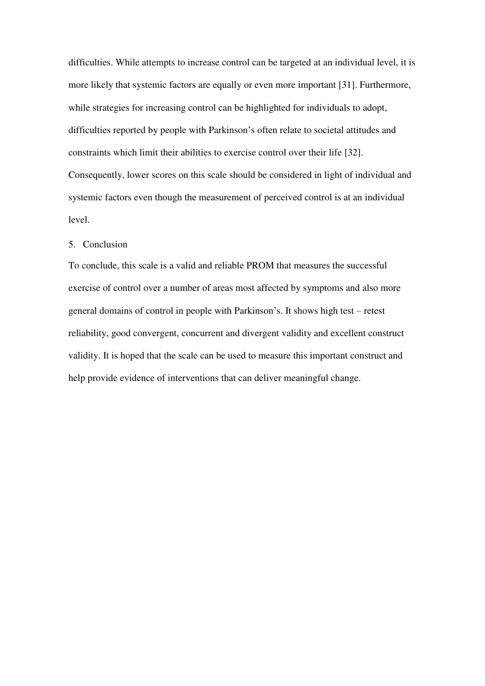difficulties. While attempts to increase control can be targeted at an individual level, it is more likely that systemic factors are equally or even more important [31]. Furthermore, while strategies for increasing control can be highlighted for individuals to adopt, difficulties reported by people with Parkinson's often relate to societal attitudes and constraints which limit their abilities to exercise control over their life [32]. Consequently, lower scores on this scale should be considered in light of individual and systemic factors even though the measurement of perceived control is at an individual level.

#### 5. Conclusion

To conclude, this scale is a valid and reliable PROM that measures the successful exercise of control over a number of areas most affected by symptoms and also more general domains of control in people with Parkinson's. It shows high test – retest reliability, good convergent, concurrent and divergent validity and excellent construct validity. It is hoped that the scale can be used to measure this important construct and help provide evidence of interventions that can deliver meaningful change.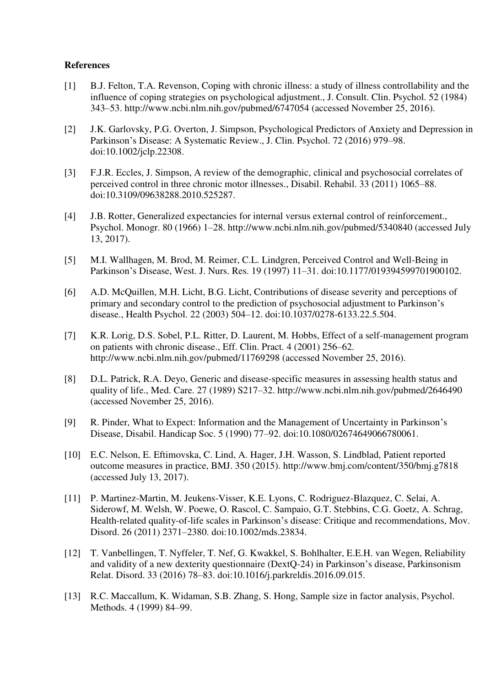### **References**

- [1] B.J. Felton, T.A. Revenson, Coping with chronic illness: a study of illness controllability and the influence of coping strategies on psychological adjustment., J. Consult. Clin. Psychol. 52 (1984) 343–53. http://www.ncbi.nlm.nih.gov/pubmed/6747054 (accessed November 25, 2016).
- [2] J.K. Garlovsky, P.G. Overton, J. Simpson, Psychological Predictors of Anxiety and Depression in Parkinson's Disease: A Systematic Review., J. Clin. Psychol. 72 (2016) 979–98. doi:10.1002/jclp.22308.
- [3] F.J.R. Eccles, J. Simpson, A review of the demographic, clinical and psychosocial correlates of perceived control in three chronic motor illnesses., Disabil. Rehabil. 33 (2011) 1065–88. doi:10.3109/09638288.2010.525287.
- [4] J.B. Rotter, Generalized expectancies for internal versus external control of reinforcement., Psychol. Monogr. 80 (1966) 1–28. http://www.ncbi.nlm.nih.gov/pubmed/5340840 (accessed July 13, 2017).
- [5] M.I. Wallhagen, M. Brod, M. Reimer, C.L. Lindgren, Perceived Control and Well-Being in Parkinson's Disease, West. J. Nurs. Res. 19 (1997) 11–31. doi:10.1177/019394599701900102.
- [6] A.D. McQuillen, M.H. Licht, B.G. Licht, Contributions of disease severity and perceptions of primary and secondary control to the prediction of psychosocial adjustment to Parkinson's disease., Health Psychol. 22 (2003) 504–12. doi:10.1037/0278-6133.22.5.504.
- [7] K.R. Lorig, D.S. Sobel, P.L. Ritter, D. Laurent, M. Hobbs, Effect of a self-management program on patients with chronic disease., Eff. Clin. Pract. 4 (2001) 256–62. http://www.ncbi.nlm.nih.gov/pubmed/11769298 (accessed November 25, 2016).
- [8] D.L. Patrick, R.A. Deyo, Generic and disease-specific measures in assessing health status and quality of life., Med. Care. 27 (1989) S217–32. http://www.ncbi.nlm.nih.gov/pubmed/2646490 (accessed November 25, 2016).
- [9] R. Pinder, What to Expect: Information and the Management of Uncertainty in Parkinson's Disease, Disabil. Handicap Soc. 5 (1990) 77–92. doi:10.1080/02674649066780061.
- [10] E.C. Nelson, E. Eftimovska, C. Lind, A. Hager, J.H. Wasson, S. Lindblad, Patient reported outcome measures in practice, BMJ. 350 (2015). http://www.bmj.com/content/350/bmj.g7818 (accessed July 13, 2017).
- [11] P. Martinez-Martin, M. Jeukens-Visser, K.E. Lyons, C. Rodriguez-Blazquez, C. Selai, A. Siderowf, M. Welsh, W. Poewe, O. Rascol, C. Sampaio, G.T. Stebbins, C.G. Goetz, A. Schrag, Health-related quality-of-life scales in Parkinson's disease: Critique and recommendations, Mov. Disord. 26 (2011) 2371–2380. doi:10.1002/mds.23834.
- [12] T. Vanbellingen, T. Nyffeler, T. Nef, G. Kwakkel, S. Bohlhalter, E.E.H. van Wegen, Reliability and validity of a new dexterity questionnaire (DextQ-24) in Parkinson's disease, Parkinsonism Relat. Disord. 33 (2016) 78–83. doi:10.1016/j.parkreldis.2016.09.015.
- [13] R.C. Maccallum, K. Widaman, S.B. Zhang, S. Hong, Sample size in factor analysis, Psychol. Methods. 4 (1999) 84–99.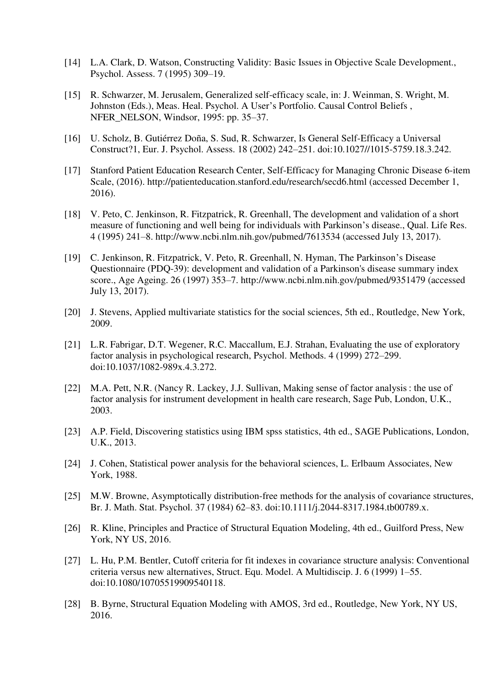- [14] L.A. Clark, D. Watson, Constructing Validity: Basic Issues in Objective Scale Development., Psychol. Assess. 7 (1995) 309–19.
- [15] R. Schwarzer, M. Jerusalem, Generalized self-efficacy scale, in: J. Weinman, S. Wright, M. Johnston (Eds.), Meas. Heal. Psychol. A User's Portfolio. Causal Control Beliefs , NFER\_NELSON, Windsor, 1995: pp. 35–37.
- [16] U. Scholz, B. Gutiérrez Doña, S. Sud, R. Schwarzer, Is General Self-Efficacy a Universal Construct?1, Eur. J. Psychol. Assess. 18 (2002) 242–251. doi:10.1027//1015-5759.18.3.242.
- [17] Stanford Patient Education Research Center, Self-Efficacy for Managing Chronic Disease 6-item Scale, (2016). http://patienteducation.stanford.edu/research/secd6.html (accessed December 1, 2016).
- [18] V. Peto, C. Jenkinson, R. Fitzpatrick, R. Greenhall, The development and validation of a short measure of functioning and well being for individuals with Parkinson's disease., Qual. Life Res. 4 (1995) 241–8. http://www.ncbi.nlm.nih.gov/pubmed/7613534 (accessed July 13, 2017).
- [19] C. Jenkinson, R. Fitzpatrick, V. Peto, R. Greenhall, N. Hyman, The Parkinson's Disease Questionnaire (PDQ-39): development and validation of a Parkinson's disease summary index score., Age Ageing. 26 (1997) 353–7. http://www.ncbi.nlm.nih.gov/pubmed/9351479 (accessed July 13, 2017).
- [20] J. Stevens, Applied multivariate statistics for the social sciences, 5th ed., Routledge, New York, 2009.
- [21] L.R. Fabrigar, D.T. Wegener, R.C. Maccallum, E.J. Strahan, Evaluating the use of exploratory factor analysis in psychological research, Psychol. Methods. 4 (1999) 272–299. doi:10.1037/1082-989x.4.3.272.
- [22] M.A. Pett, N.R. (Nancy R. Lackey, J.J. Sullivan, Making sense of factor analysis : the use of factor analysis for instrument development in health care research, Sage Pub, London, U.K., 2003.
- [23] A.P. Field, Discovering statistics using IBM spss statistics, 4th ed., SAGE Publications, London, U.K., 2013.
- [24] J. Cohen, Statistical power analysis for the behavioral sciences, L. Erlbaum Associates, New York, 1988.
- [25] M.W. Browne, Asymptotically distribution-free methods for the analysis of covariance structures, Br. J. Math. Stat. Psychol. 37 (1984) 62–83. doi:10.1111/j.2044-8317.1984.tb00789.x.
- [26] R. Kline, Principles and Practice of Structural Equation Modeling, 4th ed., Guilford Press, New York, NY US, 2016.
- [27] L. Hu, P.M. Bentler, Cutoff criteria for fit indexes in covariance structure analysis: Conventional criteria versus new alternatives, Struct. Equ. Model. A Multidiscip. J. 6 (1999) 1–55. doi:10.1080/10705519909540118.
- [28] B. Byrne, Structural Equation Modeling with AMOS, 3rd ed., Routledge, New York, NY US, 2016.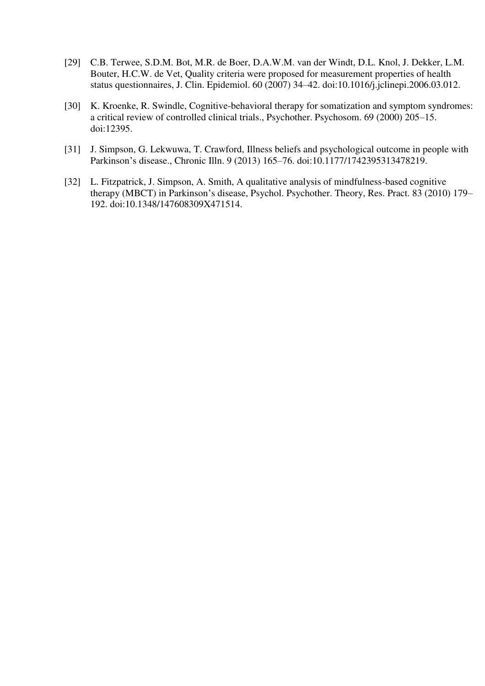- [29] C.B. Terwee, S.D.M. Bot, M.R. de Boer, D.A.W.M. van der Windt, D.L. Knol, J. Dekker, L.M. Bouter, H.C.W. de Vet, Quality criteria were proposed for measurement properties of health status questionnaires, J. Clin. Epidemiol. 60 (2007) 34–42. doi:10.1016/j.jclinepi.2006.03.012.
- [30] K. Kroenke, R. Swindle, Cognitive-behavioral therapy for somatization and symptom syndromes: a critical review of controlled clinical trials., Psychother. Psychosom. 69 (2000) 205–15. doi:12395.
- [31] J. Simpson, G. Lekwuwa, T. Crawford, Illness beliefs and psychological outcome in people with Parkinson's disease., Chronic Illn. 9 (2013) 165–76. doi:10.1177/1742395313478219.
- [32] L. Fitzpatrick, J. Simpson, A. Smith, A qualitative analysis of mindfulness-based cognitive therapy (MBCT) in Parkinson's disease, Psychol. Psychother. Theory, Res. Pract. 83 (2010) 179– 192. doi:10.1348/147608309X471514.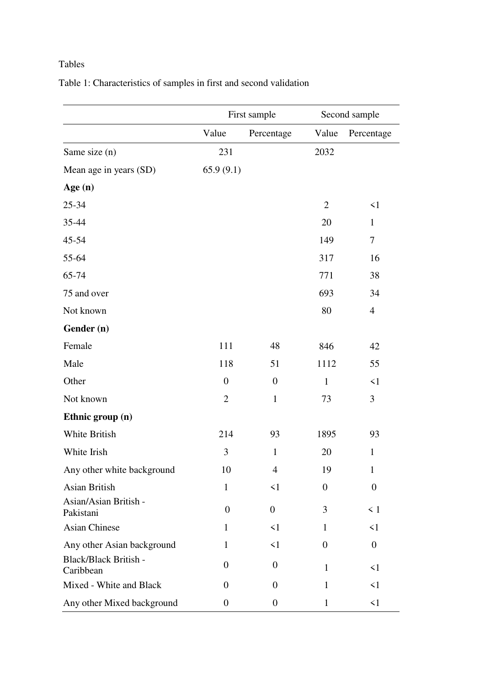# Tables

|                                    |                  | First sample     | Second sample    |                  |  |
|------------------------------------|------------------|------------------|------------------|------------------|--|
|                                    | Value            | Percentage       | Value            | Percentage       |  |
| Same size (n)                      | 231              |                  | 2032             |                  |  |
| Mean age in years (SD)             | 65.9(9.1)        |                  |                  |                  |  |
| Age $(n)$                          |                  |                  |                  |                  |  |
| 25-34                              |                  |                  | $\overline{2}$   | $\leq$ 1         |  |
| 35-44                              |                  |                  | 20               | $\mathbf{1}$     |  |
| 45-54                              |                  |                  | 149              | $\tau$           |  |
| 55-64                              |                  |                  | 317              | 16               |  |
| 65-74                              |                  |                  | 771              | 38               |  |
| 75 and over                        |                  |                  | 693              | 34               |  |
| Not known                          |                  |                  | 80               | $\overline{4}$   |  |
| Gender (n)                         |                  |                  |                  |                  |  |
| Female                             | 111              | 48               | 846              | 42               |  |
| Male                               | 118              | 51               | 1112             | 55               |  |
| Other                              | $\boldsymbol{0}$ | $\boldsymbol{0}$ | $\mathbf{1}$     | $\leq$ 1         |  |
| Not known                          | $\overline{2}$   | $\mathbf{1}$     | 73               | 3                |  |
| Ethnic group (n)                   |                  |                  |                  |                  |  |
| White British                      | 214              | 93               | 1895             | 93               |  |
| White Irish                        | $\mathfrak{Z}$   | $\mathbf{1}$     | 20               | $\mathbf{1}$     |  |
| Any other white background         | 10               | 4                | 19               | 1                |  |
| Asian British                      | $\mathbf{1}$     | $\leq 1$         | $\theta$         | $\boldsymbol{0}$ |  |
| Asian/Asian British -<br>Pakistani | $\theta$         | $\boldsymbol{0}$ | 3                | $\leq 1$         |  |
| <b>Asian Chinese</b>               | $\mathbf{1}$     | $\leq 1$         | $\mathbf{1}$     | $\leq 1$         |  |
| Any other Asian background         | $\mathbf{1}$     | $\leq 1$         | $\boldsymbol{0}$ | $\mathbf{0}$     |  |
| Black/Black British -<br>Caribbean | $\overline{0}$   | $\overline{0}$   | 1                | $\leq$ 1         |  |
| Mixed - White and Black            | $\overline{0}$   | $\mathbf{0}$     | 1                | $\leq 1$         |  |
| Any other Mixed background         | $\boldsymbol{0}$ | $\overline{0}$   | 1                | $\leq$ 1         |  |

Table 1: Characteristics of samples in first and second validation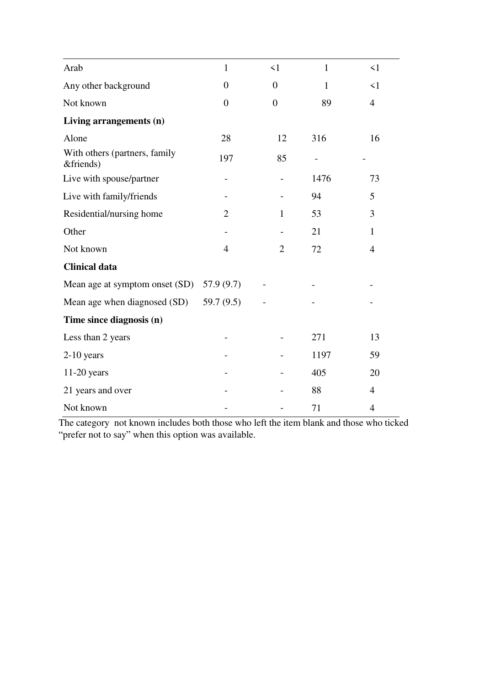| Arab                                       | $\mathbf{1}$     | $\leq$ 1       | $\mathbf{1}$ | $\leq$ 1       |
|--------------------------------------------|------------------|----------------|--------------|----------------|
| Any other background                       | $\boldsymbol{0}$ | $\overline{0}$ | $\mathbf{1}$ | $\leq 1$       |
| Not known                                  | $\overline{0}$   | $\overline{0}$ | 89           | $\overline{4}$ |
| Living arrangements (n)                    |                  |                |              |                |
| Alone                                      | 28               | 12             | 316          | 16             |
| With others (partners, family<br>&friends) | 197              | 85             |              |                |
| Live with spouse/partner                   |                  |                | 1476         | 73             |
| Live with family/friends                   |                  |                | 94           | 5              |
| Residential/nursing home                   | $\overline{2}$   | $\mathbf{1}$   | 53           | 3              |
| Other                                      |                  |                | 21           | 1              |
| Not known                                  | 4                | $\overline{2}$ | 72           | $\overline{4}$ |
| <b>Clinical data</b>                       |                  |                |              |                |
| Mean age at symptom onset (SD)             | 57.9(9.7)        |                |              |                |
| Mean age when diagnosed (SD)               | 59.7(9.5)        |                |              |                |
| Time since diagnosis (n)                   |                  |                |              |                |
| Less than 2 years                          |                  |                | 271          | 13             |
| $2-10$ years                               |                  |                | 1197         | 59             |
| $11-20$ years                              |                  |                | 405          | 20             |
| 21 years and over                          |                  |                | 88           | $\overline{4}$ |
| Not known                                  |                  |                | 71           | $\overline{4}$ |

The category not known includes both those who left the item blank and those who ticked "prefer not to say" when this option was available.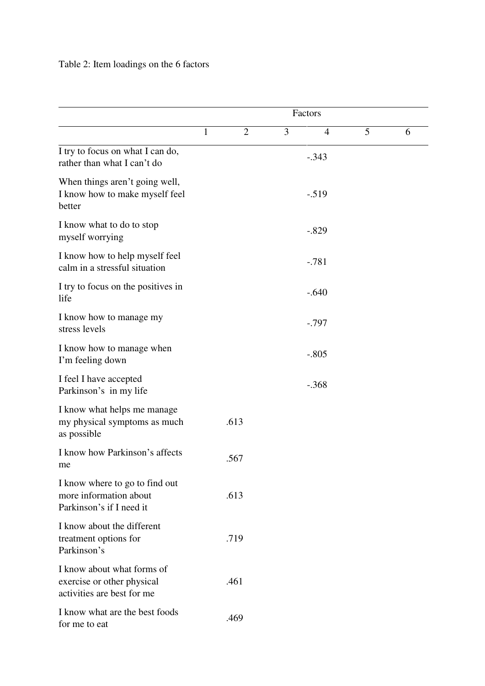# Table 2: Item loadings on the 6 factors

|                                                                                        | Factors |                |   |                |   |   |
|----------------------------------------------------------------------------------------|---------|----------------|---|----------------|---|---|
|                                                                                        | 1       | $\overline{2}$ | 3 | $\overline{4}$ | 5 | 6 |
| I try to focus on what I can do,<br>rather than what I can't do                        |         |                |   | $-.343$        |   |   |
| When things aren't going well,<br>I know how to make myself feel<br>better             |         |                |   | $-.519$        |   |   |
| I know what to do to stop<br>myself worrying                                           |         |                |   | $-.829$        |   |   |
| I know how to help myself feel<br>calm in a stressful situation                        |         |                |   | $-.781$        |   |   |
| I try to focus on the positives in<br>life                                             |         |                |   | $-.640$        |   |   |
| I know how to manage my<br>stress levels                                               |         |                |   | $-.797$        |   |   |
| I know how to manage when<br>I'm feeling down                                          |         |                |   | $-.805$        |   |   |
| I feel I have accepted<br>Parkinson's in my life                                       |         |                |   | $-.368$        |   |   |
| I know what helps me manage<br>my physical symptoms as much<br>as possible             |         | .613           |   |                |   |   |
| I know how Parkinson's affects<br>me                                                   |         | .567           |   |                |   |   |
| I know where to go to find out<br>more information about<br>Parkinson's if I need it   |         | .613           |   |                |   |   |
| I know about the different<br>treatment options for<br>Parkinson's                     |         | .719           |   |                |   |   |
| I know about what forms of<br>exercise or other physical<br>activities are best for me |         | .461           |   |                |   |   |
| I know what are the best foods<br>for me to eat                                        |         | .469           |   |                |   |   |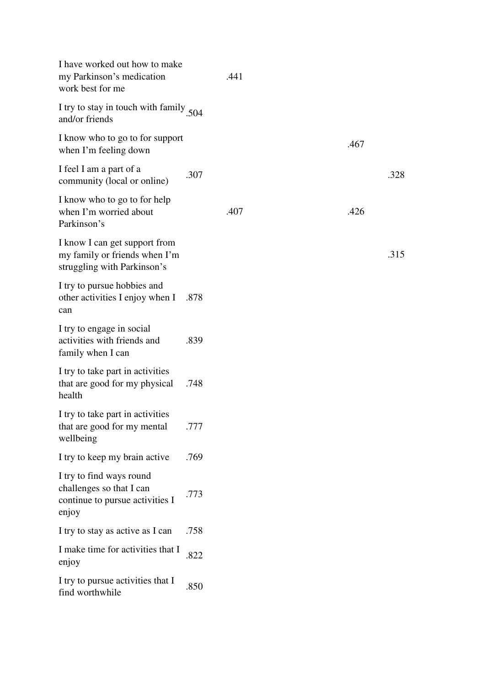| I have worked out how to make<br>my Parkinson's medication<br>work best for me                   |      | .441 |  |      |      |
|--------------------------------------------------------------------------------------------------|------|------|--|------|------|
| I try to stay in touch with family 504<br>and/or friends                                         |      |      |  |      |      |
| I know who to go to for support<br>when I'm feeling down                                         |      |      |  | .467 |      |
| I feel I am a part of a<br>community (local or online)                                           | .307 |      |  |      | .328 |
| I know who to go to for help<br>when I'm worried about<br>Parkinson's                            |      | .407 |  | .426 |      |
| I know I can get support from<br>my family or friends when I'm<br>struggling with Parkinson's    |      |      |  |      | .315 |
| I try to pursue hobbies and<br>other activities I enjoy when I<br>can                            | .878 |      |  |      |      |
| I try to engage in social<br>activities with friends and<br>family when I can                    | .839 |      |  |      |      |
| I try to take part in activities<br>that are good for my physical<br>health                      | .748 |      |  |      |      |
| I try to take part in activities<br>that are good for my mental<br>wellbeing                     | .777 |      |  |      |      |
| I try to keep my brain active                                                                    | .769 |      |  |      |      |
| I try to find ways round<br>challenges so that I can<br>continue to pursue activities I<br>enjoy | .773 |      |  |      |      |
| I try to stay as active as I can                                                                 | .758 |      |  |      |      |
| I make time for activities that I<br>enjoy                                                       | .822 |      |  |      |      |
| I try to pursue activities that I<br>find worthwhile                                             | .850 |      |  |      |      |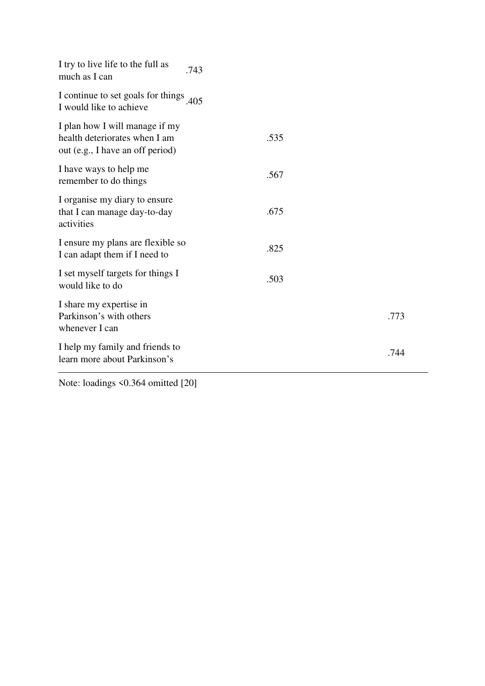| I try to live life to the full as<br>much as I can                                                  | .743 |      |
|-----------------------------------------------------------------------------------------------------|------|------|
| I continue to set goals for things<br>I would like to achieve                                       | 405  |      |
| I plan how I will manage if my<br>health deteriorates when I am<br>out (e.g., I have an off period) | .535 |      |
| I have ways to help me<br>remember to do things                                                     | .567 |      |
| I organise my diary to ensure<br>that I can manage day-to-day<br>activities                         | .675 |      |
| I ensure my plans are flexible so<br>I can adapt them if I need to                                  | .825 |      |
| I set myself targets for things I<br>would like to do                                               | .503 |      |
| I share my expertise in<br>Parkinson's with others<br>whenever I can                                |      | .773 |
| I help my family and friends to<br>learn more about Parkinson's                                     |      | .744 |

Note: loadings <0.364 omitted [20]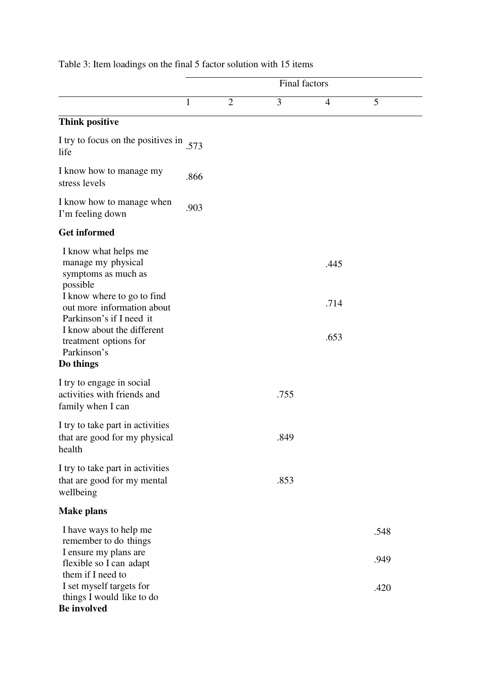|                                                                                                                              | Final factors |                |      |                |              |  |
|------------------------------------------------------------------------------------------------------------------------------|---------------|----------------|------|----------------|--------------|--|
|                                                                                                                              | 1             | $\overline{2}$ | 3    | $\overline{4}$ | 5            |  |
| <b>Think positive</b>                                                                                                        |               |                |      |                |              |  |
| I try to focus on the positives in<br>life                                                                                   | .573          |                |      |                |              |  |
| I know how to manage my<br>stress levels                                                                                     | .866          |                |      |                |              |  |
| I know how to manage when<br>I'm feeling down                                                                                | .903          |                |      |                |              |  |
| <b>Get informed</b>                                                                                                          |               |                |      |                |              |  |
| I know what helps me<br>manage my physical<br>symptoms as much as<br>possible<br>I know where to go to find                  |               |                |      | .445           |              |  |
| out more information about<br>Parkinson's if I need it<br>I know about the different<br>treatment options for<br>Parkinson's |               |                |      | .714<br>.653   |              |  |
| Do things                                                                                                                    |               |                |      |                |              |  |
| I try to engage in social<br>activities with friends and<br>family when I can                                                |               |                | .755 |                |              |  |
| I try to take part in activities<br>that are good for my physical<br>health                                                  |               |                | .849 |                |              |  |
| I try to take part in activities<br>that are good for my mental<br>wellbeing                                                 |               |                | .853 |                |              |  |
| <b>Make plans</b>                                                                                                            |               |                |      |                |              |  |
| I have ways to help me<br>remember to do things<br>I ensure my plans are<br>flexible so I can adapt                          |               |                |      |                | .548<br>.949 |  |
| them if I need to<br>I set myself targets for<br>things I would like to do<br><b>Be involved</b>                             |               |                |      |                | .420         |  |

# Table 3: Item loadings on the final 5 factor solution with 15 items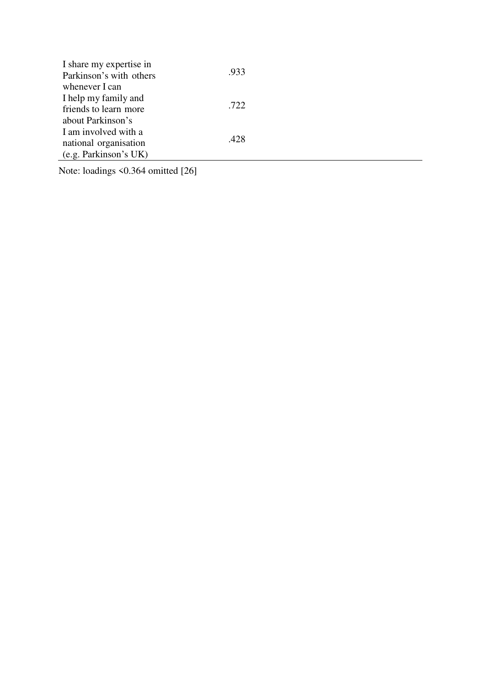| I share my expertise in |      |
|-------------------------|------|
| Parkinson's with others | .933 |
| whenever I can          |      |
| I help my family and    |      |
| friends to learn more   | .722 |
| about Parkinson's       |      |
| I am involved with a    |      |
| national organisation   | .428 |
| (e.g. Parkinson's UK)   |      |

Note: loadings <0.364 omitted [26]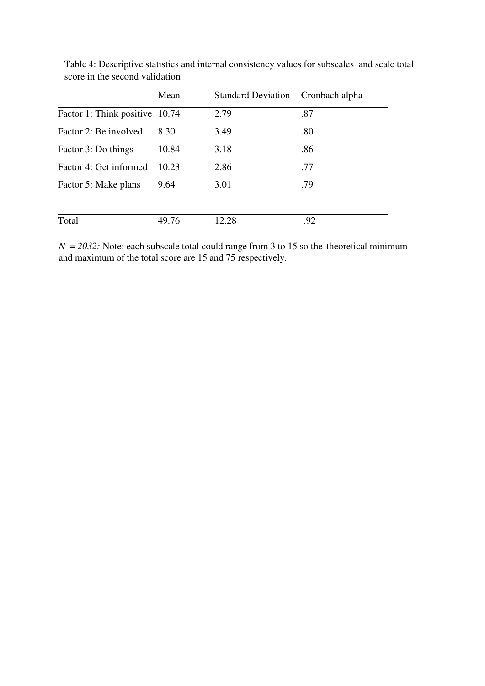|                                | Mean  | Standard Deviation Cronbach alpha |     |
|--------------------------------|-------|-----------------------------------|-----|
| Factor 1: Think positive 10.74 |       | 2.79                              | .87 |
| Factor 2: Be involved          | 8.30  | 3.49                              | .80 |
| Factor 3: Do things            | 10.84 | 3.18                              | .86 |
| Factor 4: Get informed         | 10.23 | 2.86                              | .77 |
| Factor 5: Make plans           | 9.64  | 3.01                              | .79 |
|                                |       |                                   |     |
| Total                          | 49.76 | 12.28                             | .92 |

Table 4: Descriptive statistics and internal consistency values for subscales and scale total score in the second validation

 $N = 2032$ : Note: each subscale total could range from 3 to 15 so the theoretical minimum and maximum of the total score are 15 and 75 respectively.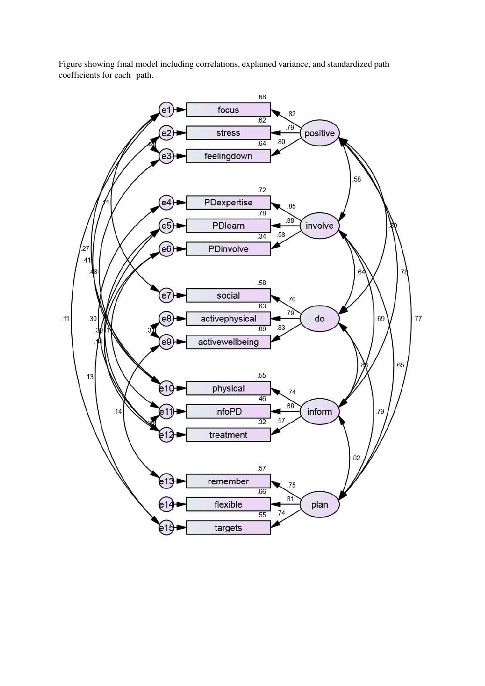Figure showing final model including correlations, explained variance, and standardized path coefficients for each path.

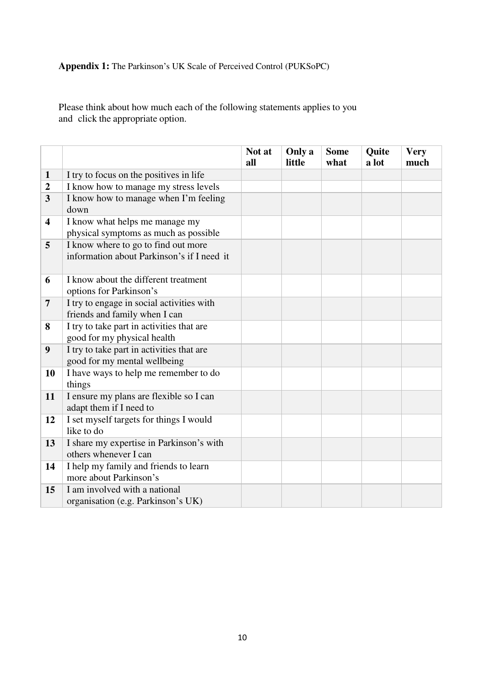# **Appendix 1:** The Parkinson's UK Scale of Perceived Control (PUKSoPC)

Please think about how much each of the following statements applies to you and click the appropriate option.

|                         |                                                                                   | Not at<br>all | Only a<br>little | <b>Some</b><br>what | Quite<br>a lot | <b>Very</b><br>much |
|-------------------------|-----------------------------------------------------------------------------------|---------------|------------------|---------------------|----------------|---------------------|
| $\mathbf{1}$            | I try to focus on the positives in life                                           |               |                  |                     |                |                     |
| $\boldsymbol{2}$        | I know how to manage my stress levels                                             |               |                  |                     |                |                     |
| $\mathbf{3}$            | I know how to manage when I'm feeling<br>down                                     |               |                  |                     |                |                     |
| $\overline{\mathbf{4}}$ | I know what helps me manage my<br>physical symptoms as much as possible           |               |                  |                     |                |                     |
| 5                       | I know where to go to find out more<br>information about Parkinson's if I need it |               |                  |                     |                |                     |
| 6                       | I know about the different treatment<br>options for Parkinson's                   |               |                  |                     |                |                     |
| $\overline{7}$          | I try to engage in social activities with<br>friends and family when I can        |               |                  |                     |                |                     |
| 8                       | I try to take part in activities that are<br>good for my physical health          |               |                  |                     |                |                     |
| 9                       | I try to take part in activities that are<br>good for my mental wellbeing         |               |                  |                     |                |                     |
| 10                      | I have ways to help me remember to do<br>things                                   |               |                  |                     |                |                     |
| 11                      | I ensure my plans are flexible so I can<br>adapt them if I need to                |               |                  |                     |                |                     |
| 12                      | I set myself targets for things I would<br>like to do                             |               |                  |                     |                |                     |
| 13                      | I share my expertise in Parkinson's with<br>others whenever I can                 |               |                  |                     |                |                     |
| 14                      | I help my family and friends to learn<br>more about Parkinson's                   |               |                  |                     |                |                     |
| 15                      | I am involved with a national<br>organisation (e.g. Parkinson's UK)               |               |                  |                     |                |                     |